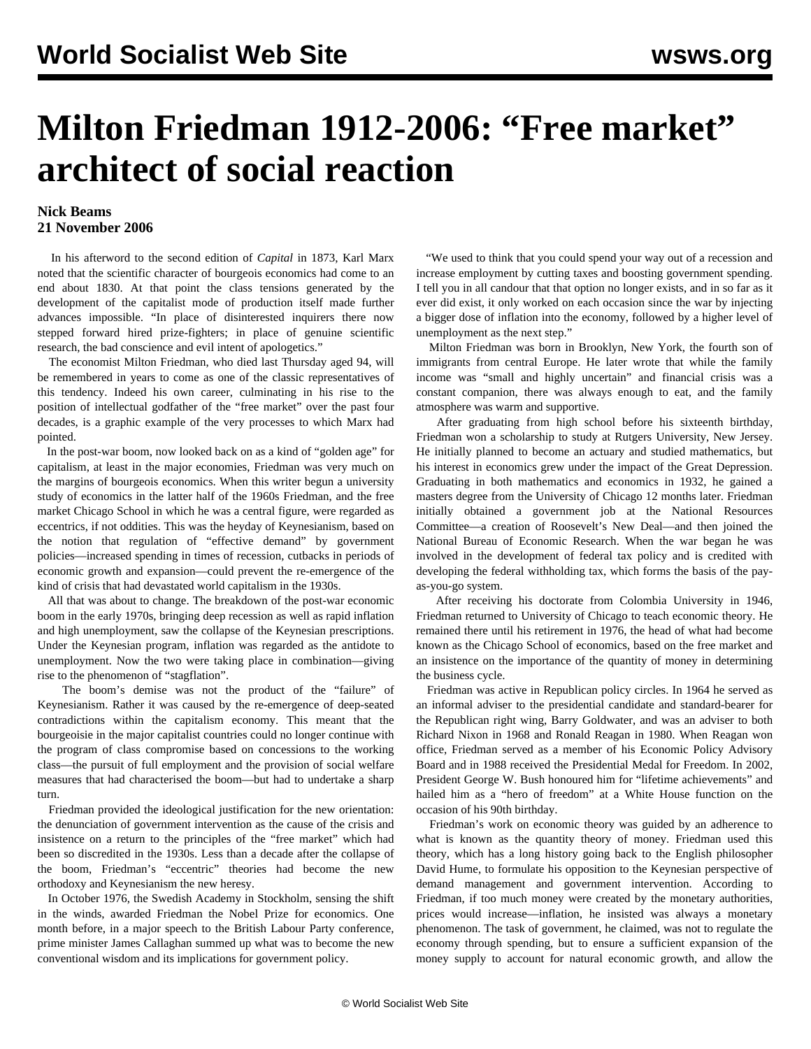## **Milton Friedman 1912-2006: "Free market" architect of social reaction**

## **Nick Beams 21 November 2006**

 In his afterword to the second edition of *Capital* in 1873, Karl Marx noted that the scientific character of bourgeois economics had come to an end about 1830. At that point the class tensions generated by the development of the capitalist mode of production itself made further advances impossible. "In place of disinterested inquirers there now stepped forward hired prize-fighters; in place of genuine scientific research, the bad conscience and evil intent of apologetics."

 The economist Milton Friedman, who died last Thursday aged 94, will be remembered in years to come as one of the classic representatives of this tendency. Indeed his own career, culminating in his rise to the position of intellectual godfather of the "free market" over the past four decades, is a graphic example of the very processes to which Marx had pointed.

 In the post-war boom, now looked back on as a kind of "golden age" for capitalism, at least in the major economies, Friedman was very much on the margins of bourgeois economics. When this writer begun a university study of economics in the latter half of the 1960s Friedman, and the free market Chicago School in which he was a central figure, were regarded as eccentrics, if not oddities. This was the heyday of Keynesianism, based on the notion that regulation of "effective demand" by government policies—increased spending in times of recession, cutbacks in periods of economic growth and expansion—could prevent the re-emergence of the kind of crisis that had devastated world capitalism in the 1930s.

 All that was about to change. The breakdown of the post-war economic boom in the early 1970s, bringing deep recession as well as rapid inflation and high unemployment, saw the collapse of the Keynesian prescriptions. Under the Keynesian program, inflation was regarded as the antidote to unemployment. Now the two were taking place in combination—giving rise to the phenomenon of "stagflation".

 The boom's demise was not the product of the "failure" of Keynesianism. Rather it was caused by the re-emergence of deep-seated contradictions within the capitalism economy. This meant that the bourgeoisie in the major capitalist countries could no longer continue with the program of class compromise based on concessions to the working class—the pursuit of full employment and the provision of social welfare measures that had characterised the boom—but had to undertake a sharp turn.

 Friedman provided the ideological justification for the new orientation: the denunciation of government intervention as the cause of the crisis and insistence on a return to the principles of the "free market" which had been so discredited in the 1930s. Less than a decade after the collapse of the boom, Friedman's "eccentric" theories had become the new orthodoxy and Keynesianism the new heresy.

 In October 1976, the Swedish Academy in Stockholm, sensing the shift in the winds, awarded Friedman the Nobel Prize for economics. One month before, in a major speech to the British Labour Party conference, prime minister James Callaghan summed up what was to become the new conventional wisdom and its implications for government policy.

 "We used to think that you could spend your way out of a recession and increase employment by cutting taxes and boosting government spending. I tell you in all candour that that option no longer exists, and in so far as it ever did exist, it only worked on each occasion since the war by injecting a bigger dose of inflation into the economy, followed by a higher level of unemployment as the next step."

 Milton Friedman was born in Brooklyn, New York, the fourth son of immigrants from central Europe. He later wrote that while the family income was "small and highly uncertain" and financial crisis was a constant companion, there was always enough to eat, and the family atmosphere was warm and supportive.

 After graduating from high school before his sixteenth birthday, Friedman won a scholarship to study at Rutgers University, New Jersey. He initially planned to become an actuary and studied mathematics, but his interest in economics grew under the impact of the Great Depression. Graduating in both mathematics and economics in 1932, he gained a masters degree from the University of Chicago 12 months later. Friedman initially obtained a government job at the National Resources Committee—a creation of Roosevelt's New Deal—and then joined the National Bureau of Economic Research. When the war began he was involved in the development of federal tax policy and is credited with developing the federal withholding tax, which forms the basis of the payas-you-go system.

 After receiving his doctorate from Colombia University in 1946, Friedman returned to University of Chicago to teach economic theory. He remained there until his retirement in 1976, the head of what had become known as the Chicago School of economics, based on the free market and an insistence on the importance of the quantity of money in determining the business cycle.

 Friedman was active in Republican policy circles. In 1964 he served as an informal adviser to the presidential candidate and standard-bearer for the Republican right wing, Barry Goldwater, and was an adviser to both Richard Nixon in 1968 and Ronald Reagan in 1980. When Reagan won office, Friedman served as a member of his Economic Policy Advisory Board and in 1988 received the Presidential Medal for Freedom. In 2002, President George W. Bush honoured him for "lifetime achievements" and hailed him as a "hero of freedom" at a White House function on the occasion of his 90th birthday.

 Friedman's work on economic theory was guided by an adherence to what is known as the quantity theory of money. Friedman used this theory, which has a long history going back to the English philosopher David Hume, to formulate his opposition to the Keynesian perspective of demand management and government intervention. According to Friedman, if too much money were created by the monetary authorities, prices would increase—inflation, he insisted was always a monetary phenomenon. The task of government, he claimed, was not to regulate the economy through spending, but to ensure a sufficient expansion of the money supply to account for natural economic growth, and allow the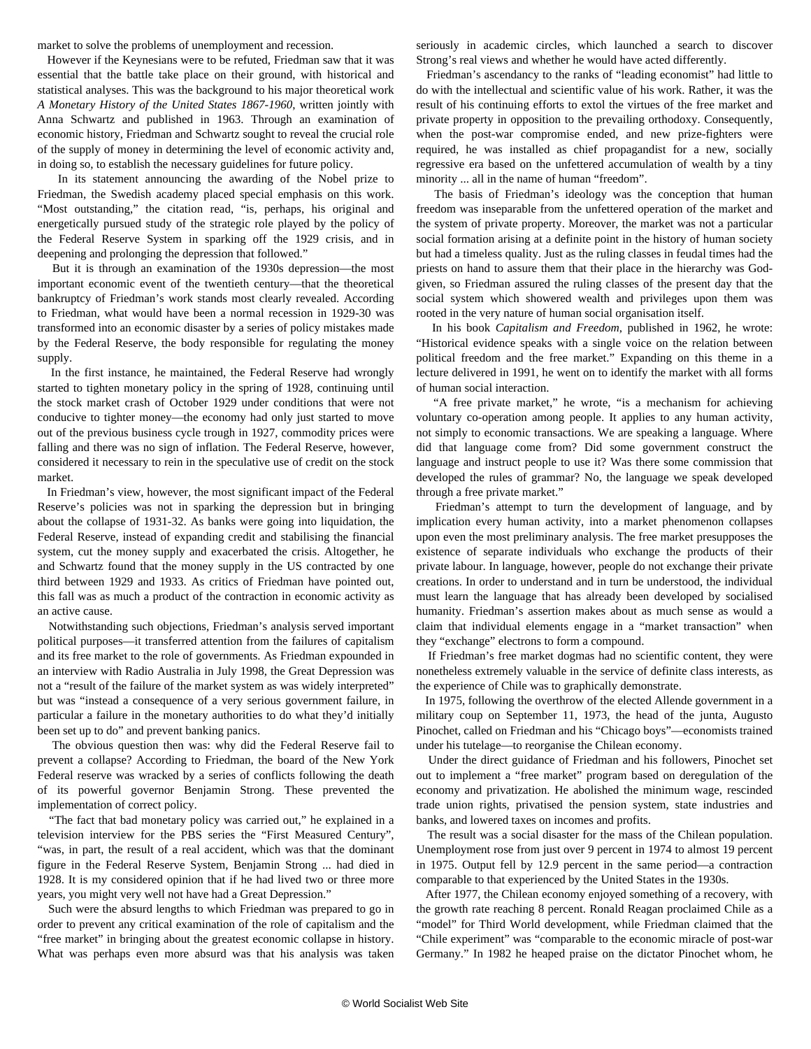market to solve the problems of unemployment and recession.

 However if the Keynesians were to be refuted, Friedman saw that it was essential that the battle take place on their ground, with historical and statistical analyses. This was the background to his major theoretical work *A Monetary History of the United States 1867-1960*, written jointly with Anna Schwartz and published in 1963. Through an examination of economic history, Friedman and Schwartz sought to reveal the crucial role of the supply of money in determining the level of economic activity and, in doing so, to establish the necessary guidelines for future policy.

 In its statement announcing the awarding of the Nobel prize to Friedman, the Swedish academy placed special emphasis on this work. "Most outstanding," the citation read, "is, perhaps, his original and energetically pursued study of the strategic role played by the policy of the Federal Reserve System in sparking off the 1929 crisis, and in deepening and prolonging the depression that followed."

 But it is through an examination of the 1930s depression—the most important economic event of the twentieth century—that the theoretical bankruptcy of Friedman's work stands most clearly revealed. According to Friedman, what would have been a normal recession in 1929-30 was transformed into an economic disaster by a series of policy mistakes made by the Federal Reserve, the body responsible for regulating the money supply.

 In the first instance, he maintained, the Federal Reserve had wrongly started to tighten monetary policy in the spring of 1928, continuing until the stock market crash of October 1929 under conditions that were not conducive to tighter money—the economy had only just started to move out of the previous business cycle trough in 1927, commodity prices were falling and there was no sign of inflation. The Federal Reserve, however, considered it necessary to rein in the speculative use of credit on the stock market.

 In Friedman's view, however, the most significant impact of the Federal Reserve's policies was not in sparking the depression but in bringing about the collapse of 1931-32. As banks were going into liquidation, the Federal Reserve, instead of expanding credit and stabilising the financial system, cut the money supply and exacerbated the crisis. Altogether, he and Schwartz found that the money supply in the US contracted by one third between 1929 and 1933. As critics of Friedman have pointed out, this fall was as much a product of the contraction in economic activity as an active cause.

 Notwithstanding such objections, Friedman's analysis served important political purposes—it transferred attention from the failures of capitalism and its free market to the role of governments. As Friedman expounded in an interview with Radio Australia in July 1998, the Great Depression was not a "result of the failure of the market system as was widely interpreted" but was "instead a consequence of a very serious government failure, in particular a failure in the monetary authorities to do what they'd initially been set up to do" and prevent banking panics.

 The obvious question then was: why did the Federal Reserve fail to prevent a collapse? According to Friedman, the board of the New York Federal reserve was wracked by a series of conflicts following the death of its powerful governor Benjamin Strong. These prevented the implementation of correct policy.

 "The fact that bad monetary policy was carried out," he explained in a television interview for the PBS series the "First Measured Century", "was, in part, the result of a real accident, which was that the dominant figure in the Federal Reserve System, Benjamin Strong ... had died in 1928. It is my considered opinion that if he had lived two or three more years, you might very well not have had a Great Depression."

 Such were the absurd lengths to which Friedman was prepared to go in order to prevent any critical examination of the role of capitalism and the "free market" in bringing about the greatest economic collapse in history. What was perhaps even more absurd was that his analysis was taken

seriously in academic circles, which launched a search to discover Strong's real views and whether he would have acted differently.

 Friedman's ascendancy to the ranks of "leading economist" had little to do with the intellectual and scientific value of his work. Rather, it was the result of his continuing efforts to extol the virtues of the free market and private property in opposition to the prevailing orthodoxy. Consequently, when the post-war compromise ended, and new prize-fighters were required, he was installed as chief propagandist for a new, socially regressive era based on the unfettered accumulation of wealth by a tiny minority ... all in the name of human "freedom".

 The basis of Friedman's ideology was the conception that human freedom was inseparable from the unfettered operation of the market and the system of private property. Moreover, the market was not a particular social formation arising at a definite point in the history of human society but had a timeless quality. Just as the ruling classes in feudal times had the priests on hand to assure them that their place in the hierarchy was Godgiven, so Friedman assured the ruling classes of the present day that the social system which showered wealth and privileges upon them was rooted in the very nature of human social organisation itself.

 In his book *Capitalism and Freedom*, published in 1962, he wrote: "Historical evidence speaks with a single voice on the relation between political freedom and the free market." Expanding on this theme in a lecture delivered in 1991, he went on to identify the market with all forms of human social interaction.

 "A free private market," he wrote, "is a mechanism for achieving voluntary co-operation among people. It applies to any human activity, not simply to economic transactions. We are speaking a language. Where did that language come from? Did some government construct the language and instruct people to use it? Was there some commission that developed the rules of grammar? No, the language we speak developed through a free private market."

 Friedman's attempt to turn the development of language, and by implication every human activity, into a market phenomenon collapses upon even the most preliminary analysis. The free market presupposes the existence of separate individuals who exchange the products of their private labour. In language, however, people do not exchange their private creations. In order to understand and in turn be understood, the individual must learn the language that has already been developed by socialised humanity. Friedman's assertion makes about as much sense as would a claim that individual elements engage in a "market transaction" when they "exchange" electrons to form a compound.

 If Friedman's free market dogmas had no scientific content, they were nonetheless extremely valuable in the service of definite class interests, as the experience of Chile was to graphically demonstrate.

 In 1975, following the overthrow of the elected Allende government in a military coup on September 11, 1973, the head of the junta, Augusto Pinochet, called on Friedman and his "Chicago boys"—economists trained under his tutelage—to reorganise the Chilean economy.

 Under the direct guidance of Friedman and his followers, Pinochet set out to implement a "free market" program based on deregulation of the economy and privatization. He abolished the minimum wage, rescinded trade union rights, privatised the pension system, state industries and banks, and lowered taxes on incomes and profits.

 The result was a social disaster for the mass of the Chilean population. Unemployment rose from just over 9 percent in 1974 to almost 19 percent in 1975. Output fell by 12.9 percent in the same period—a contraction comparable to that experienced by the United States in the 1930s.

 After 1977, the Chilean economy enjoyed something of a recovery, with the growth rate reaching 8 percent. Ronald Reagan proclaimed Chile as a "model" for Third World development, while Friedman claimed that the "Chile experiment" was "comparable to the economic miracle of post-war Germany." In 1982 he heaped praise on the dictator Pinochet whom, he